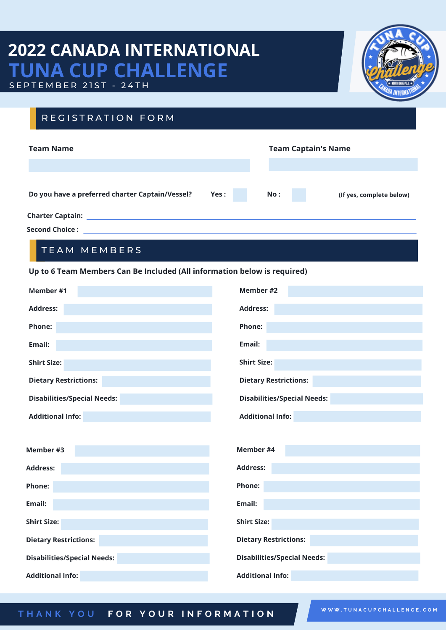# **2022 CANADA INTERNATIONAL TUNA CUP CHALLENGE** SEPTEMBER 21ST - 24TH



## REGISTRATION FORM

| <b>Team Name</b>                                |      | <b>Team Captain's Name</b> |                          |
|-------------------------------------------------|------|----------------------------|--------------------------|
|                                                 |      |                            |                          |
| Do you have a preferred charter Captain/Vessel? | Yes: | No:                        | (If yes, complete below) |
| <b>Charter Captain:</b>                         |      |                            |                          |
| <b>Second Choice:</b>                           |      |                            |                          |

### TEAM MEMBERS

#### **Up to 6 Team Members Can Be Included (All information below is required)**

| Member #1                          | Member #2                          |  |
|------------------------------------|------------------------------------|--|
| <b>Address:</b>                    | <b>Address:</b>                    |  |
| <b>Phone:</b>                      | <b>Phone:</b>                      |  |
| Email:                             | Email:                             |  |
| <b>Shirt Size:</b>                 | <b>Shirt Size:</b>                 |  |
| <b>Dietary Restrictions:</b>       | <b>Dietary Restrictions:</b>       |  |
| <b>Disabilities/Special Needs:</b> | <b>Disabilities/Special Needs:</b> |  |
| <b>Additional Info:</b>            | <b>Additional Info:</b>            |  |
|                                    |                                    |  |
| Member #3                          | Member #4                          |  |
| <b>Address:</b>                    | <b>Address:</b>                    |  |
| Phone:                             | Phone:                             |  |
| Email:                             | Email:                             |  |
| <b>Shirt Size:</b>                 | <b>Shirt Size:</b>                 |  |
| <b>Dietary Restrictions:</b>       | <b>Dietary Restrictions:</b>       |  |
| <b>Disabilities/Special Needs:</b> | <b>Disabilities/Special Needs:</b> |  |
| <b>Additional Info:</b>            | <b>Additional Info:</b>            |  |

#### THANK YOU FOR YOUR INFORMATION